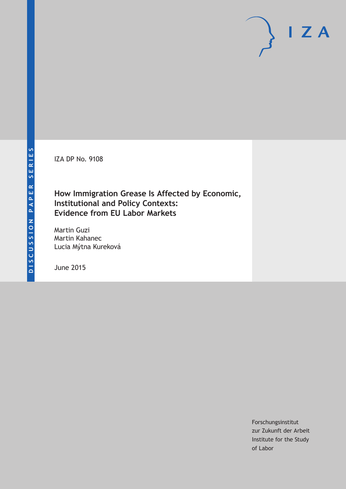IZA DP No. 9108

### **How Immigration Grease Is Affected by Economic, Institutional and Policy Contexts: Evidence from EU Labor Markets**

Martin Guzi Martin Kahanec Lucia Mýtna Kureková

June 2015

Forschungsinstitut zur Zukunft der Arbeit Institute for the Study of Labor

 $I Z A$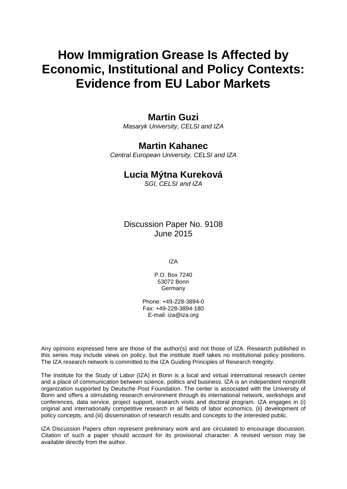# **How Immigration Grease Is Affected by Economic, Institutional and Policy Contexts: Evidence from EU Labor Markets**

### **Martin Guzi**

*Masaryk University, CELSI and IZA*

## **Martin Kahanec**

*Central European University, CELSI and IZA*

### **Lucia Mýtna Kureková**

*SGI, CELSI and IZA*

Discussion Paper No. 9108 June 2015

IZA

P.O. Box 7240 53072 Bonn **Germany** 

Phone: +49-228-3894-0 Fax: +49-228-3894-180 E-mail: iza@iza.org

Any opinions expressed here are those of the author(s) and not those of IZA. Research published in this series may include views on policy, but the institute itself takes no institutional policy positions. The IZA research network is committed to the IZA Guiding Principles of Research Integrity.

<span id="page-1-0"></span>The Institute for the Study of Labor (IZA) in Bonn is a local and virtual international research center and a place of communication between science, politics and business. IZA is an independent nonprofit organization supported by Deutsche Post Foundation. The center is associated with the University of Bonn and offers a stimulating research environment through its international network, workshops and conferences, data service, project support, research visits and doctoral program. IZA engages in (i) original and internationally competitive research in all fields of labor economics, (ii) development of policy concepts, and (iii) dissemination of research results and concepts to the interested public.

IZA Discussion Papers often represent preliminary work and are circulated to encourage discussion. Citation of such a paper should account for its provisional character. A revised version may be available directly from the author.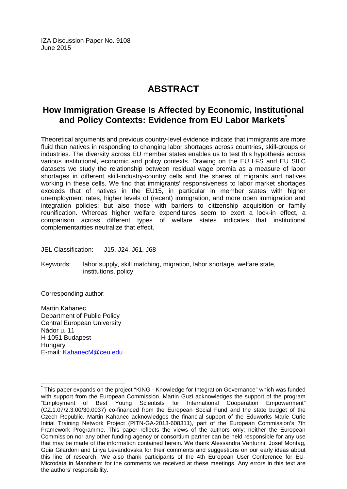IZA Discussion Paper No. 9108 June 2015

### **ABSTRACT**

### **How Immigration Grease Is Affected by Economic, Institutional and Policy Contexts: Evidence from EU Labor Markets[\\*](#page-1-0)**

Theoretical arguments and previous country-level evidence indicate that immigrants are more fluid than natives in responding to changing labor shortages across countries, skill-groups or industries. The diversity across EU member states enables us to test this hypothesis across various institutional, economic and policy contexts. Drawing on the EU LFS and EU SILC datasets we study the relationship between residual wage premia as a measure of labor shortages in different skill-industry-country cells and the shares of migrants and natives working in these cells. We find that immigrants' responsiveness to labor market shortages exceeds that of natives in the EU15, in particular in member states with higher unemployment rates, higher levels of (recent) immigration, and more open immigration and integration policies; but also those with barriers to citizenship acquisition or family reunification. Whereas higher welfare expenditures seem to exert a lock-in effect, a comparison across different types of welfare states indicates that institutional complementarities neutralize that effect.

JEL Classification: J15, J24, J61, J68

Keywords: labor supply, skill matching, migration, labor shortage, welfare state, institutions, policy

Corresponding author:

Martin Kahanec Department of Public Policy Central European University Nádor u. 11 H-1051 Budapest **Hungary** E-mail: [KahanecM@ceu.edu](mailto:KahanecM@ceu.edu)

This paper expands on the project "KING - Knowledge for Integration Governance" which was funded with support from the European Commission. Martin Guzi acknowledges the support of the program "Employment of Best Young Scientists for International Cooperation Empowerment" (CZ.1.07/2.3.00/30.0037) co-financed from the European Social Fund and the state budget of the Czech Republic. Martin Kahanec acknowledges the financial support of the Eduworks Marie Curie Initial Training Network Project (PITN-GA-2013-608311), part of the European Commission's 7th Framework Programme. This paper reflects the views of the authors only; neither the European Commission nor any other funding agency or consortium partner can be held responsible for any use that may be made of the information contained herein. We thank Alessandra Venturini, Josef Montag, Guia Gilardoni and Liliya Levandovska for their comments and suggestions on our early ideas about this line of research. We also thank participants of the 4th European User Conference for EU-Microdata in Mannheim for the comments we received at these meetings. Any errors in this text are the authors' responsibility.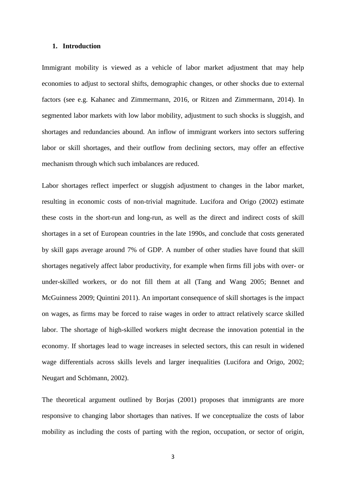#### **1. Introduction**

Immigrant mobility is viewed as a vehicle of labor market adjustment that may help economies to adjust to sectoral shifts, demographic changes, or other shocks due to external factors (see e.g. Kahanec and Zimmermann, 2016, or Ritzen and Zimmermann, 2014). In segmented labor markets with low labor mobility, adjustment to such shocks is sluggish, and shortages and redundancies abound. An inflow of immigrant workers into sectors suffering labor or skill shortages, and their outflow from declining sectors, may offer an effective mechanism through which such imbalances are reduced.

Labor shortages reflect imperfect or sluggish adjustment to changes in the labor market, resulting in economic costs of non-trivial magnitude. Lucifora and Origo (2002) estimate these costs in the short-run and long-run, as well as the direct and indirect costs of skill shortages in a set of European countries in the late 1990s, and conclude that costs generated by skill gaps average around 7% of GDP. A number of other studies have found that skill shortages negatively affect labor productivity, for example when firms fill jobs with over- or under-skilled workers, or do not fill them at all (Tang and Wang 2005; Bennet and McGuinness 2009; Quintini 2011). An important consequence of skill shortages is the impact on wages, as firms may be forced to raise wages in order to attract relatively scarce skilled labor. The shortage of high-skilled workers might decrease the innovation potential in the economy. If shortages lead to wage increases in selected sectors, this can result in widened wage differentials across skills levels and larger inequalities (Lucifora and Origo, 2002; Neugart and Schömann, 2002).

The theoretical argument outlined by Borjas (2001) proposes that immigrants are more responsive to changing labor shortages than natives. If we conceptualize the costs of labor mobility as including the costs of parting with the region, occupation, or sector of origin,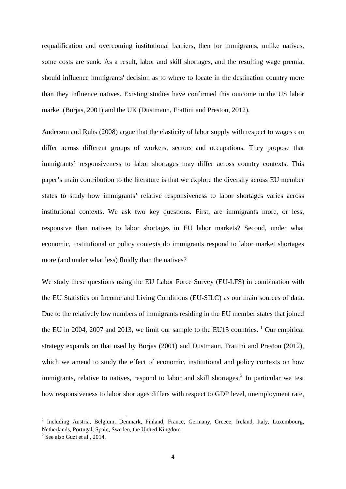requalification and overcoming institutional barriers, then for immigrants, unlike natives, some costs are sunk. As a result, labor and skill shortages, and the resulting wage premia, should influence immigrants' decision as to where to locate in the destination country more than they influence natives. Existing studies have confirmed this outcome in the US labor market (Borjas, 2001) and the UK (Dustmann, Frattini and Preston, 2012).

Anderson and Ruhs (2008) argue that the elasticity of labor supply with respect to wages can differ across different groups of workers, sectors and occupations. They propose that immigrants' responsiveness to labor shortages may differ across country contexts. This paper's main contribution to the literature is that we explore the diversity across EU member states to study how immigrants' relative responsiveness to labor shortages varies across institutional contexts. We ask two key questions. First, are immigrants more, or less, responsive than natives to labor shortages in EU labor markets? Second, under what economic, institutional or policy contexts do immigrants respond to labor market shortages more (and under what less) fluidly than the natives?

<span id="page-4-1"></span>We study these questions using the EU Labor Force Survey (EU-LFS) in combination with the EU Statistics on Income and Living Conditions (EU-SILC) as our main sources of data. Due to the relatively low numbers of immigrants residing in the EU member states that joined the EU in 2004, 2007 and 2013, we limit our sample to the EU15 countries.  $\frac{1}{1}$  Our empirical strategy expands on that used by Borjas (2001) and Dustmann, Frattini and Preston (2012), which we amend to study the effect of economic, institutional and policy contexts on how immigrants, relative to natives, respond to labor and skill shortages.<sup>[2](#page-4-0)</sup> In particular we test how responsiveness to labor shortages differs with respect to GDP level, unemployment rate,

 $\overline{\phantom{a}}$ 

<sup>&</sup>lt;sup>1</sup> Including Austria, Belgium, Denmark, Finland, France, Germany, Greece, Ireland, Italy, Luxembourg, Netherlands, Portugal, Spain, Sweden, the United Kingdom.

<span id="page-4-0"></span> $2$  See also Guzi et al., 2014.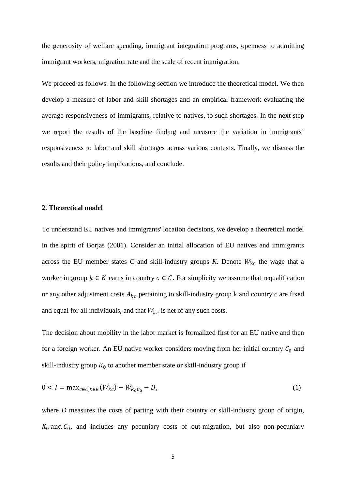the generosity of welfare spending, immigrant integration programs, openness to admitting immigrant workers, migration rate and the scale of recent immigration.

We proceed as follows. In the following section we introduce the theoretical model. We then develop a measure of labor and skill shortages and an empirical framework evaluating the average responsiveness of immigrants, relative to natives, to such shortages. In the next step we report the results of the baseline finding and measure the variation in immigrants' responsiveness to labor and skill shortages across various contexts. Finally, we discuss the results and their policy implications, and conclude.

#### **2. Theoretical model**

To understand EU natives and immigrants' location decisions, we develop a theoretical model in the spirit of Borjas (2001). Consider an initial allocation of EU natives and immigrants across the EU member states  $C$  and skill-industry groups  $K$ . Denote  $W_{kc}$  the wage that a worker in group  $k \in K$  earns in country  $c \in C$ . For simplicity we assume that requalification or any other adjustment costs  $A_{kc}$  pertaining to skill-industry group k and country c are fixed and equal for all individuals, and that  $W_{kc}$  is net of any such costs.

The decision about mobility in the labor market is formalized first for an EU native and then for a foreign worker. An EU native worker considers moving from her initial country  $C_0$  and skill-industry group  $K_0$  to another member state or skill-industry group if

$$
0 < I = \max_{c \in C, k \in K} (W_{kc}) - W_{K_0C_0} - D,\tag{1}
$$

where *D* measures the costs of parting with their country or skill-industry group of origin,  $K_0$  and  $C_0$ , and includes any pecuniary costs of out-migration, but also non-pecuniary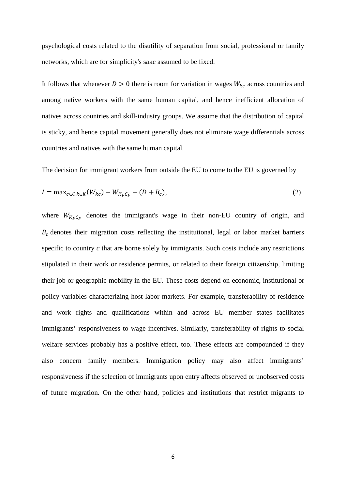psychological costs related to the disutility of separation from social, professional or family networks, which are for simplicity's sake assumed to be fixed.

It follows that whenever  $D > 0$  there is room for variation in wages  $W_{kc}$  across countries and among native workers with the same human capital, and hence inefficient allocation of natives across countries and skill-industry groups. We assume that the distribution of capital is sticky, and hence capital movement generally does not eliminate wage differentials across countries and natives with the same human capital.

The decision for immigrant workers from outside the EU to come to the EU is governed by

$$
I = \max_{c \in C, k \in K} (W_{kc}) - W_{K_F C_F} - (D + B_c), \tag{2}
$$

where  $W_{K_F C_F}$  denotes the immigrant's wage in their non-EU country of origin, and  $B<sub>c</sub>$  denotes their migration costs reflecting the institutional, legal or labor market barriers specific to country *c* that are borne solely by immigrants. Such costs include any restrictions stipulated in their work or residence permits, or related to their foreign citizenship, limiting their job or geographic mobility in the EU. These costs depend on economic, institutional or policy variables characterizing host labor markets. For example, transferability of residence and work rights and qualifications within and across EU member states facilitates immigrants' responsiveness to wage incentives. Similarly, transferability of rights to social welfare services probably has a positive effect, too. These effects are compounded if they also concern family members. Immigration policy may also affect immigrants' responsiveness if the selection of immigrants upon entry affects observed or unobserved costs of future migration. On the other hand, policies and institutions that restrict migrants to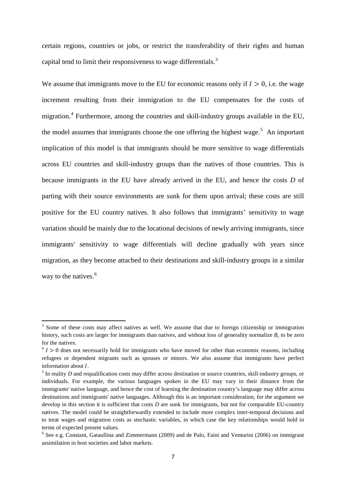certain regions, countries or jobs, or restrict the transferability of their rights and human capital tend to limit their responsiveness to wage differentials.<sup>[3](#page-4-1)</sup>

We assume that immigrants move to the EU for economic reasons only if  $I > 0$ , i.e. the wage increment resulting from their immigration to the EU compensates for the costs of migration.<sup>[4](#page-7-0)</sup> Furthermore, among the countries and skill-industry groups available in the EU, the model assumes that immigrants choose the one offering the highest wage.<sup>[5](#page-7-1)</sup> An important implication of this model is that immigrants should be more sensitive to wage differentials across EU countries and skill-industry groups than the natives of those countries. This is because immigrants in the EU have already arrived in the EU, and hence the costs *D* of parting with their source environments are sunk for them upon arrival; these costs are still positive for the EU country natives. It also follows that immigrants' sensitivity to wage variation should be mainly due to the locational decisions of newly arriving immigrants, since immigrants' sensitivity to wage differentials will decline gradually with years since migration, as they become attached to their destinations and skill-industry groups in a similar way to the natives.<sup>[6](#page-7-2)</sup>

 $\overline{\phantom{a}}$ 

 $3$  Some of these costs may affect natives as well. We assume that due to foreign citizenship or immigration history, such costs are larger for immigrants than natives, and without loss of generality normalize  $B_c$  to be zero for the natives.

<span id="page-7-0"></span> $\frac{4}{1}$   $>$  0 does not necessarily hold for immigrants who have moved for other than economic reasons, including refugees or dependent migrants such as spouses or minors. We also assume that immigrants have perfect information about *I*.<br><sup>5</sup> In reality *D* and requalification costs may differ across destination or source countries, skill-industry groups, or

<span id="page-7-1"></span>individuals. For example, the various languages spoken in the EU may vary in their distance from the immigrants' native language, and hence the cost of learning the destination country's language may differ across destinations and immigrants' native languages. Although this is an important consideration, for the argument we develop in this section it is sufficient that costs *D* are sunk for immigrants, but not for comparable EU-country natives. The model could be straightforwardly extended to include more complex inter-temporal decisions and to treat wages and migration costs as stochastic variables, in which case the key relationships would hold in terms of expected present values.

<span id="page-7-3"></span><span id="page-7-2"></span><sup>&</sup>lt;sup>6</sup> See e.g. Constant, Gataullina and Zimmermann (2009) and de Palo, Faini and Venturini (2006) on immigrant assimilation in host societies and labor markets.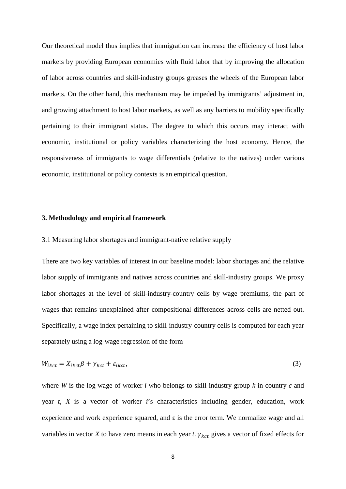Our theoretical model thus implies that immigration can increase the efficiency of host labor markets by providing European economies with fluid labor that by improving the allocation of labor across countries and skill-industry groups greases the wheels of the European labor markets. On the other hand, this mechanism may be impeded by immigrants' adjustment in, and growing attachment to host labor markets, as well as any barriers to mobility specifically pertaining to their immigrant status. The degree to which this occurs may interact with economic, institutional or policy variables characterizing the host economy. Hence, the responsiveness of immigrants to wage differentials (relative to the natives) under various economic, institutional or policy contexts is an empirical question.

#### **3. Methodology and empirical framework**

#### 3.1 Measuring labor shortages and immigrant-native relative supply

There are two key variables of interest in our baseline model: labor shortages and the relative labor supply of immigrants and natives across countries and skill-industry groups. We proxy labor shortages at the level of skill-industry-country cells by wage premiums, the part of wages that remains unexplained after compositional differences across cells are netted out. Specifically, a wage index pertaining to skill-industry-country cells is computed for each year separately using a log-wage regression of the form

$$
W_{ikct} = X_{ikct}\beta + \gamma_{kct} + \varepsilon_{ikct},\tag{3}
$$

where *W* is the log wage of worker *i* who belongs to skill-industry group *k* in country *c* and year *t*, *X* is a vector of worker *i*'s characteristics including gender, education, work experience and work experience squared, and  $\varepsilon$  is the error term. We normalize wage and all variables in vector *X* to have zero means in each year *t*.  $\gamma_{kct}$  gives a vector of fixed effects for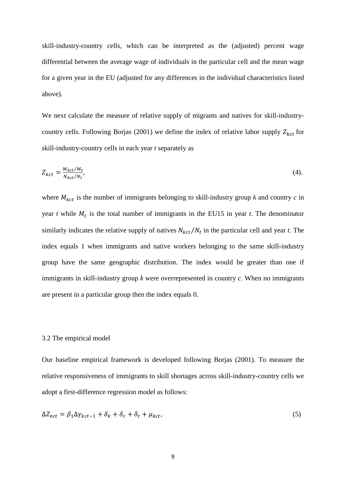skill-industry-country cells, which can be interpreted as the (adjusted) percent wage differential between the average wage of individuals in the particular cell and the mean wage for a given year in the EU (adjusted for any differences in the individual characteristics listed above).

We next calculate the measure of relative supply of migrants and natives for skill-industrycountry cells. Following Borjas (2001) we define the index of relative labor supply  $Z_{\text{kct}}$  for skill-industry-country cells in each year *t* separately as

$$
Z_{kct} = \frac{M_{kct}/M_t}{N_{kct}/N_t},\tag{4}
$$

where  $M_{kct}$  is the number of immigrants belonging to skill-industry group  $k$  and country  $c$  in year  $t$  while  $M_t$  is the total number of immigrants in the EU15 in year  $t$ . The denominator similarly indicates the relative supply of natives  $N_{kct}/N_t$  in the particular cell and year *t*. The index equals 1 when immigrants and native workers belonging to the same skill-industry group have the same geographic distribution. The index would be greater than one if immigrants in skill-industry group *k* were overrepresented in country *c*. When no immigrants are present in a particular group then the index equals 0.

#### 3.2 The empirical model

Our baseline empirical framework is developed following Borjas (2001). To measure the relative responsiveness of immigrants to skill shortages across skill-industry-country cells we adopt a first-difference regression model as follows:

$$
\Delta Z_{kct} = \beta_1 \Delta \gamma_{kct-1} + \delta_k + \delta_c + \delta_t + \mu_{kct},\tag{5}
$$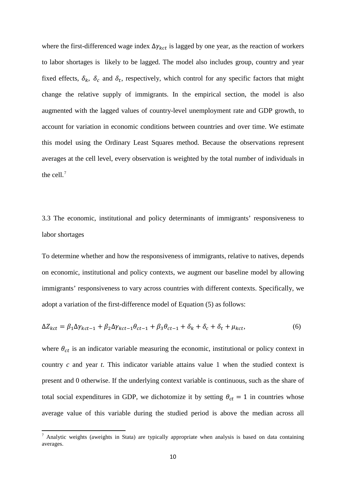where the first-differenced wage index  $\Delta \gamma_{kct}$  is lagged by one year, as the reaction of workers to labor shortages is likely to be lagged. The model also includes group, country and year fixed effects,  $\delta_k$ ,  $\delta_c$  and  $\delta_t$ , respectively, which control for any specific factors that might change the relative supply of immigrants. In the empirical section, the model is also augmented with the lagged values of country-level unemployment rate and GDP growth, to account for variation in economic conditions between countries and over time. We estimate this model using the Ordinary Least Squares method. Because the observations represent averages at the cell level, every observation is weighted by the total number of individuals in the cell.[7](#page-7-3)

3.3 The economic, institutional and policy determinants of immigrants' responsiveness to labor shortages

To determine whether and how the responsiveness of immigrants, relative to natives, depends on economic, institutional and policy contexts, we augment our baseline model by allowing immigrants' responsiveness to vary across countries with different contexts. Specifically, we adopt a variation of the first-difference model of Equation (5) as follows:

$$
\Delta Z_{kct} = \beta_1 \Delta \gamma_{kct-1} + \beta_2 \Delta \gamma_{kct-1} \theta_{ct-1} + \beta_3 \theta_{ct-1} + \delta_k + \delta_c + \delta_t + \mu_{kct},\tag{6}
$$

where  $\theta_{ct}$  is an indicator variable measuring the economic, institutional or policy context in country *c* and year *t*. This indicator variable attains value 1 when the studied context is present and 0 otherwise. If the underlying context variable is continuous, such as the share of total social expenditures in GDP, we dichotomize it by setting  $\theta_{ct} = 1$  in countries whose average value of this variable during the studied period is above the median across all

<span id="page-10-0"></span><sup>7</sup> Analytic weights (aweights in Stata) are typically appropriate when analysis is based on data containing averages.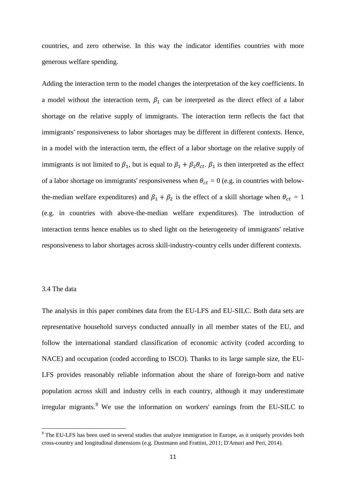countries, and zero otherwise. In this way the indicator identifies countries with more generous welfare spending.

Adding the interaction term to the model changes the interpretation of the key coefficients. In a model without the interaction term,  $\beta_1$  can be interpreted as the direct effect of a labor shortage on the relative supply of immigrants. The interaction term reflects the fact that immigrants' responsiveness to labor shortages may be different in different contexts. Hence, in a model with the interaction term, the effect of a labor shortage on the relative supply of immigrants is not limited to  $\beta_1$ , but is equal to  $\beta_1 + \beta_2 \theta_{ct}$ .  $\beta_1$  is then interpreted as the effect of a labor shortage on immigrants' responsiveness when  $\theta_{ct} = 0$  (e.g. in countries with belowthe-median welfare expenditures) and  $\beta_1 + \beta_2$  is the effect of a skill shortage when  $\theta_{ct} = 1$ (e.g. in countries with above-the-median welfare expenditures). The introduction of interaction terms hence enables us to shed light on the heterogeneity of immigrants' relative responsiveness to labor shortages across skill-industry-country cells under different contexts.

#### 3.4 The data

<span id="page-11-0"></span> $\overline{\phantom{a}}$ 

The analysis in this paper combines data from the EU-LFS and EU-SILC. Both data sets are representative household surveys conducted annually in all member states of the EU, and follow the international standard classification of economic activity (coded according to NACE) and occupation (coded according to ISCO). Thanks to its large sample size, the EU-LFS provides reasonably reliable information about the share of foreign-born and native population across skill and industry cells in each country, although it may underestimate irregular migrants.<sup>[8](#page-10-0)</sup> We use the information on workers' earnings from the EU-SILC to

<sup>&</sup>lt;sup>8</sup> The EU-LFS has been used in several studies that analyze immigration in Europe, as it uniquely provides both cross-country and longitudinal dimensions (e.g. Dustmann and Frattini, 2011; D'Amuri and Peri, 2014).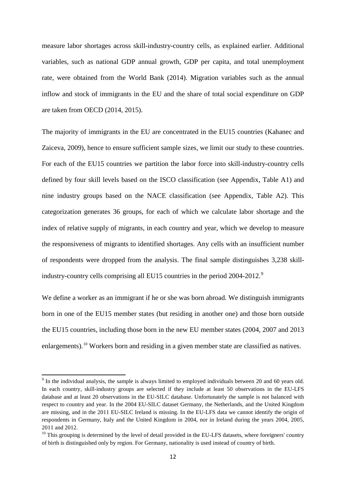measure labor shortages across skill-industry-country cells, as explained earlier. Additional variables, such as national GDP annual growth, GDP per capita, and total unemployment rate, were obtained from the World Bank (2014). Migration variables such as the annual inflow and stock of immigrants in the EU and the share of total social expenditure on GDP are taken from OECD (2014, 2015).

The majority of immigrants in the EU are concentrated in the EU15 countries (Kahanec and Zaiceva, 2009), hence to ensure sufficient sample sizes, we limit our study to these countries. For each of the EU15 countries we partition the labor force into skill-industry-country cells defined by four skill levels based on the ISCO classification (see Appendix, Table A1) and nine industry groups based on the NACE classification (see Appendix, Table A2). This categorization generates 36 groups, for each of which we calculate labor shortage and the index of relative supply of migrants, in each country and year, which we develop to measure the responsiveness of migrants to identified shortages. Any cells with an insufficient number of respondents were dropped from the analysis. The final sample distinguishes 3,238 skill-industry-country cells comprising all EU15 countries in the period 2004-2012.<sup>[9](#page-11-0)</sup>

We define a worker as an immigrant if he or she was born abroad. We distinguish immigrants born in one of the EU15 member states (but residing in another one) and those born outside the EU15 countries, including those born in the new EU member states (2004, 2007 and 2013 enlargements).<sup>[10](#page-12-0)</sup> Workers born and residing in a given member state are classified as natives.

<sup>&</sup>lt;sup>9</sup> In the individual analysis, the sample is always limited to employed individuals between 20 and 60 years old. In each country, skill-industry groups are selected if they include at least 50 observations in the EU-LFS database and at least 20 observations in the EU-SILC database. Unfortunately the sample is not balanced with respect to country and year. In the 2004 EU-SILC dataset Germany, the Netherlands, and the United Kingdom are missing, and in the 2011 EU-SILC Ireland is missing. In the EU-LFS data we cannot identify the origin of respondents in Germany, Italy and the United Kingdom in 2004, nor in Ireland during the years 2004, 2005, 2011 and 2012.

<span id="page-12-1"></span><span id="page-12-0"></span> $10$  This grouping is determined by the level of detail provided in the EU-LFS datasets, where foreigners' country of birth is distinguished only by region. For Germany, nationality is used instead of country of birth.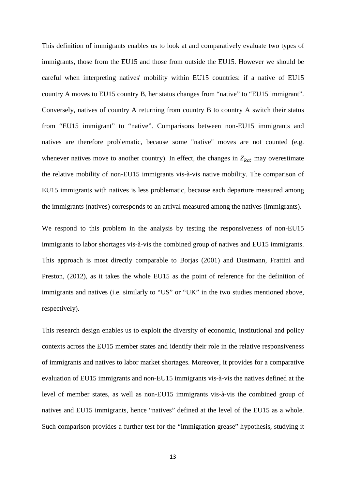This definition of immigrants enables us to look at and comparatively evaluate two types of immigrants, those from the EU15 and those from outside the EU15. However we should be careful when interpreting natives' mobility within EU15 countries: if a native of EU15 country A moves to EU15 country B, her status changes from "native" to "EU15 immigrant". Conversely, natives of country A returning from country B to country A switch their status from "EU15 immigrant" to "native". Comparisons between non-EU15 immigrants and natives are therefore problematic, because some "native" moves are not counted (e.g. whenever natives move to another country). In effect, the changes in  $Z_{kct}$  may overestimate the relative mobility of non-EU15 immigrants vis-à-vis native mobility. The comparison of EU15 immigrants with natives is less problematic, because each departure measured among the immigrants (natives) corresponds to an arrival measured among the natives (immigrants).

We respond to this problem in the analysis by testing the responsiveness of non-EU15 immigrants to labor shortages vis-à-vis the combined group of natives and EU15 immigrants. This approach is most directly comparable to Borjas (2001) and Dustmann, Frattini and Preston, (2012), as it takes the whole EU15 as the point of reference for the definition of immigrants and natives (i.e. similarly to "US" or "UK" in the two studies mentioned above, respectively).

This research design enables us to exploit the diversity of economic, institutional and policy contexts across the EU15 member states and identify their role in the relative responsiveness of immigrants and natives to labor market shortages. Moreover, it provides for a comparative evaluation of EU15 immigrants and non-EU15 immigrants vis-à-vis the natives defined at the level of member states, as well as non-EU15 immigrants vis-à-vis the combined group of natives and EU15 immigrants, hence "natives" defined at the level of the EU15 as a whole. Such comparison provides a further test for the "immigration grease" hypothesis, studying it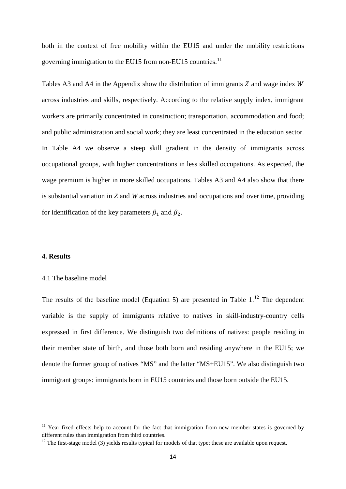both in the context of free mobility within the EU15 and under the mobility restrictions governing immigration to the EU15 from non-EU15 countries.<sup>[11](#page-12-1)</sup>

Tables A3 and A4 in the Appendix show the distribution of immigrants  $Z$  and wage index  $W$ across industries and skills, respectively. According to the relative supply index, immigrant workers are primarily concentrated in construction; transportation, accommodation and food; and public administration and social work; they are least concentrated in the education sector. In Table A4 we observe a steep skill gradient in the density of immigrants across occupational groups, with higher concentrations in less skilled occupations. As expected, the wage premium is higher in more skilled occupations. Tables A3 and A4 also show that there is substantial variation in *Z* and *W* across industries and occupations and over time, providing for identification of the key parameters  $\beta_1$  and  $\beta_2$ .

#### **4. Results**

 $\overline{\phantom{a}}$ 

#### 4.1 The baseline model

<span id="page-14-1"></span>The results of the baseline model (Equation 5) are presented in Table  $1<sup>12</sup>$  $1<sup>12</sup>$  $1<sup>12</sup>$  The dependent variable is the supply of immigrants relative to natives in skill-industry-country cells expressed in first difference. We distinguish two definitions of natives: people residing in their member state of birth, and those both born and residing anywhere in the EU15; we denote the former group of natives "MS" and the latter "MS+EU15". We also distinguish two immigrant groups: immigrants born in EU15 countries and those born outside the EU15.

 $11$  Year fixed effects help to account for the fact that immigration from new member states is governed by different rules than immigration from third countries.

<span id="page-14-0"></span> $12$  The first-stage model (3) yields results typical for models of that type; these are available upon request.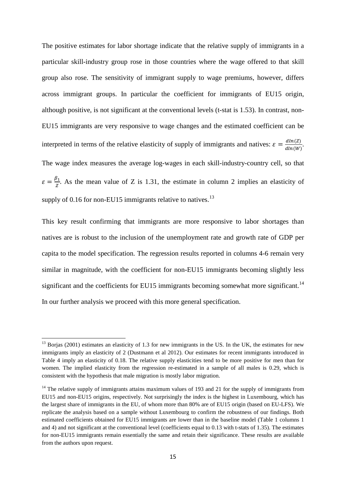The positive estimates for labor shortage indicate that the relative supply of immigrants in a particular skill-industry group rose in those countries where the wage offered to that skill group also rose. The sensitivity of immigrant supply to wage premiums, however, differs across immigrant groups. In particular the coefficient for immigrants of EU15 origin, although positive, is not significant at the conventional levels (t-stat is 1.53). In contrast, non-EU15 immigrants are very responsive to wage changes and the estimated coefficient can be interpreted in terms of the relative elasticity of supply of immigrants and natives:  $\varepsilon = \frac{dln(Z)}{dln(W)}$ . The wage index measures the average log-wages in each skill-industry-country cell, so that  $\varepsilon = \frac{\beta_1}{z}$ . As the mean value of Z is 1.31, the estimate in column 2 implies an elasticity of supply of  $0.16$  for non-EU15 immigrants relative to natives.<sup>[13](#page-14-1)</sup>

This key result confirming that immigrants are more responsive to labor shortages than natives are is robust to the inclusion of the unemployment rate and growth rate of GDP per capita to the model specification. The regression results reported in columns 4-6 remain very similar in magnitude, with the coefficient for non-EU15 immigrants becoming slightly less significant and the coefficients for EU15 immigrants becoming somewhat more significant.<sup>[14](#page-15-0)</sup> In our further analysis we proceed with this more general specification.

**.** 

<sup>&</sup>lt;sup>13</sup> Borjas (2001) estimates an elasticity of 1.3 for new immigrants in the US. In the UK, the estimates for new immigrants imply an elasticity of 2 (Dustmann et al 2012). Our estimates for recent immigrants introduced in Table 4 imply an elasticity of 0.18. The relative supply elasticities tend to be more positive for men than for women. The implied elasticity from the regression re-estimated in a sample of all males is 0.29, which is consistent with the hypothesis that male migration is mostly labor migration.

<span id="page-15-1"></span><span id="page-15-0"></span><sup>&</sup>lt;sup>14</sup> The relative supply of immigrants attains maximum values of 193 and 21 for the supply of immigrants from EU15 and non-EU15 origins, respectively. Not surprisingly the index is the highest in Luxembourg, which has the largest share of immigrants in the EU, of whom more than 80% are of EU15 origin (based on EU-LFS). We replicate the analysis based on a sample without Luxembourg to confirm the robustness of our findings. Both estimated coefficients obtained for EU15 immigrants are lower than in the baseline model (Table 1 columns 1 and 4) and not significant at the conventional level (coefficients equal to 0.13 with t-stats of 1.35). The estimates for non-EU15 immigrants remain essentially the same and retain their significance. These results are available from the authors upon request.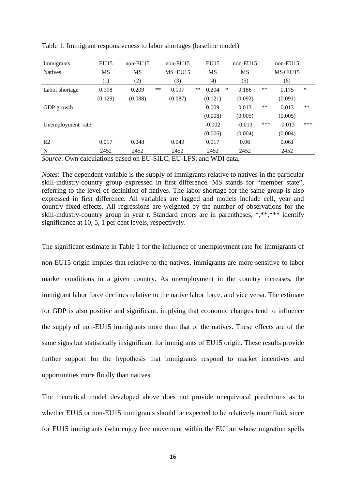| Immigrants                              | EU15      | $non-EU15$ |       | $non-EU15$  |       | EU15      |        | $non-EU15$ |       | $non-EU15$  |        |
|-----------------------------------------|-----------|------------|-------|-------------|-------|-----------|--------|------------|-------|-------------|--------|
| <b>Natives</b>                          | <b>MS</b> | <b>MS</b>  |       | $MS + EU15$ |       | <b>MS</b> |        | <b>MS</b>  |       | $MS + EU15$ |        |
|                                         | (1)       | (2)        |       | (3)         |       | (4)       |        | (5)        |       | (6)         |        |
| Labor shortage                          | 0.198     | 0.209      | $***$ | 0.197       | $***$ | 0.204     | $\ast$ | 0.186      | $***$ | 0.175       | $\ast$ |
|                                         | (0.129)   | (0.088)    |       | (0.087)     |       | (0.121)   |        | (0.092)    |       | (0.091)     |        |
| GDP growth                              |           |            |       |             |       | 0.009     |        | 0.013      | $***$ | 0.013       | $**$   |
|                                         |           |            |       |             |       | (0.008)   |        | (0.005)    |       | (0.005)     |        |
| Unemployment rate                       |           |            |       |             |       | $-0.002$  |        | $-0.013$   | ***   | $-0.013$    | ***    |
|                                         |           |            |       |             |       | (0.006)   |        | (0.004)    |       | (0.004)     |        |
| R <sub>2</sub>                          | 0.017     | 0.048      |       | 0.049       |       | 0.017     |        | 0.06       |       | 0.061       |        |
| N<br>$\overline{\phantom{0}}$<br>$\sim$ | 2452      | 2452       |       | 2452        |       | 2452      |        | 2452       |       | 2452        |        |

Table 1: Immigrant responsiveness to labor shortages (baseline model)

*Source*: Own calculations based on EU-SILC, EU-LFS, and WDI data.

*Notes*: The dependent variable is the supply of immigrants relative to natives in the particular skill-industry-country group expressed in first difference. MS stands for "member state", referring to the level of definition of natives. The labor shortage for the same group is also expressed in first difference. All variables are lagged and models include cell, year and country fixed effects. All regressions are weighted by the number of observations for the skill-industry-country group in year *t*. Standard errors are in parentheses, \*,\*\*,\*\*\* identify significance at 10, 5, 1 per cent levels, respectively.

The significant estimate in Table 1 for the influence of unemployment rate for immigrants of non-EU15 origin implies that relative to the natives, immigrants are more sensitive to labor market conditions in a given country. As unemployment in the country increases, the immigrant labor force declines relative to the native labor force, and vice versa. The estimate for GDP is also positive and significant, implying that economic changes tend to influence the supply of non-EU15 immigrants more than that of the natives. These effects are of the same signs but statistically insignificant for immigrants of EU15 origin. These results provide further support for the hypothesis that immigrants respond to market incentives and opportunities more fluidly than natives.

The theoretical model developed above does not provide unequivocal predictions as to whether EU15 or non-EU15 immigrants should be expected to be relatively more fluid, since for EU15 immigrants (who enjoy free movement within the EU but whose migration spells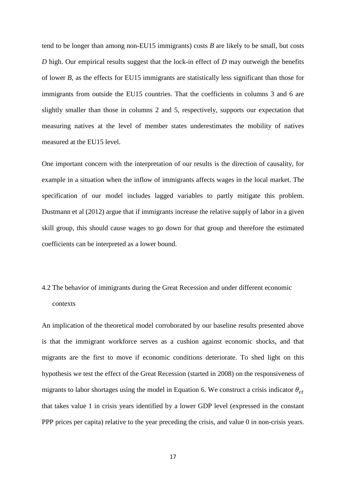tend to be longer than among non-EU15 immigrants) costs *B* are likely to be small, but costs *D* high. Our empirical results suggest that the lock-in effect of *D* may outweigh the benefits of lower *B,* as the effects for EU15 immigrants are statistically less significant than those for immigrants from outside the EU15 countries. That the coefficients in columns 3 and 6 are slightly smaller than those in columns 2 and 5, respectively, supports our expectation that measuring natives at the level of member states underestimates the mobility of natives measured at the EU15 level.

One important concern with the interpretation of our results is the direction of causality, for example in a situation when the inflow of immigrants affects wages in the local market. The specification of our model includes lagged variables to partly mitigate this problem. Dustmann et al (2012) argue that if immigrants increase the relative supply of labor in a given skill group, this should cause wages to go down for that group and therefore the estimated coefficients can be interpreted as a lower bound.

## 4.2 The behavior of immigrants during the Great Recession and under different economic contexts

An implication of the theoretical model corroborated by our baseline results presented above is that the immigrant workforce serves as a cushion against economic shocks, and that migrants are the first to move if economic conditions deteriorate. To shed light on this hypothesis we test the effect of the Great Recession (started in 2008) on the responsiveness of migrants to labor shortages using the model in Equation 6. We construct a crisis indicator  $\theta_{ct}$ that takes value 1 in crisis years identified by a lower GDP level (expressed in the constant PPP prices per capita) relative to the year preceding the crisis, and value 0 in non-crisis years.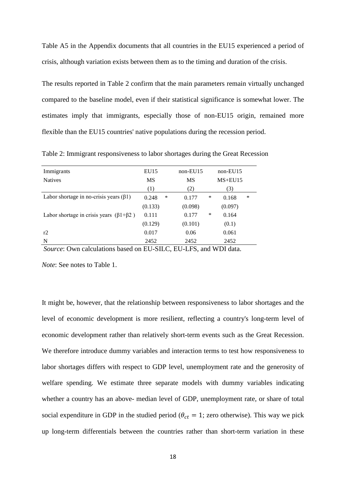Table A5 in the Appendix documents that all countries in the EU15 experienced a period of crisis, although variation exists between them as to the timing and duration of the crisis.

The results reported in Table 2 confirm that the main parameters remain virtually unchanged compared to the baseline model, even if their statistical significance is somewhat lower. The estimates imply that immigrants, especially those of non-EU15 origin, remained more flexible than the EU15 countries' native populations during the recession period.

| Immigrants                                       | EU15       | $non-EU15$ | $non-EU15$           |
|--------------------------------------------------|------------|------------|----------------------|
| <b>Natives</b>                                   | <b>MS</b>  | MS         | $MS + EU15$          |
|                                                  | (1)        | (2)        | (3)                  |
| Labor shortage in no-crisis years $(\beta 1)$    | ∗<br>0.248 | 0.177      | $\ast$<br>∗<br>0.168 |
|                                                  | (0.133)    | (0.098)    | (0.097)              |
| Labor shortage in crisis years $(\beta1+\beta2)$ | 0.111      | 0.177      | $\ast$<br>0.164      |
|                                                  | (0.129)    | (0.101)    | (0.1)                |
| r2                                               | 0.017      | 0.06       | 0.061                |
| N                                                | 2452       | 2452       | 2452                 |

Table 2: Immigrant responsiveness to labor shortages during the Great Recession

*Source*: Own calculations based on EU-SILC, EU-LFS, and WDI data.

*Note*: See notes to Table 1.

It might be, however, that the relationship between responsiveness to labor shortages and the level of economic development is more resilient, reflecting a country's long-term level of economic development rather than relatively short-term events such as the Great Recession. We therefore introduce dummy variables and interaction terms to test how responsiveness to labor shortages differs with respect to GDP level, unemployment rate and the generosity of welfare spending. We estimate three separate models with dummy variables indicating whether a country has an above- median level of GDP, unemployment rate, or share of total social expenditure in GDP in the studied period ( $\theta_{ct} = 1$ ; zero otherwise). This way we pick up long-term differentials between the countries rather than short-term variation in these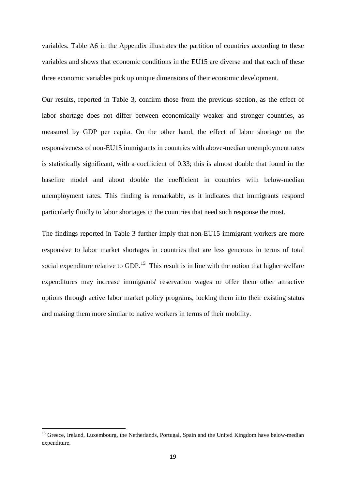variables. Table A6 in the Appendix illustrates the partition of countries according to these variables and shows that economic conditions in the EU15 are diverse and that each of these three economic variables pick up unique dimensions of their economic development.

Our results, reported in Table 3, confirm those from the previous section, as the effect of labor shortage does not differ between economically weaker and stronger countries, as measured by GDP per capita. On the other hand, the effect of labor shortage on the responsiveness of non-EU15 immigrants in countries with above-median unemployment rates is statistically significant, with a coefficient of 0.33; this is almost double that found in the baseline model and about double the coefficient in countries with below-median unemployment rates. This finding is remarkable, as it indicates that immigrants respond particularly fluidly to labor shortages in the countries that need such response the most.

The findings reported in Table 3 further imply that non-EU15 immigrant workers are more responsive to labor market shortages in countries that are less generous in terms of total social expenditure relative to GDP.<sup>[15](#page-15-1)</sup> This result is in line with the notion that higher welfare expenditures may increase immigrants' reservation wages or offer them other attractive options through active labor market policy programs, locking them into their existing status and making them more similar to native workers in terms of their mobility.

<span id="page-19-0"></span> $\overline{\phantom{a}}$ 

<sup>&</sup>lt;sup>15</sup> Greece, Ireland, Luxembourg, the Netherlands, Portugal, Spain and the United Kingdom have below-median expenditure.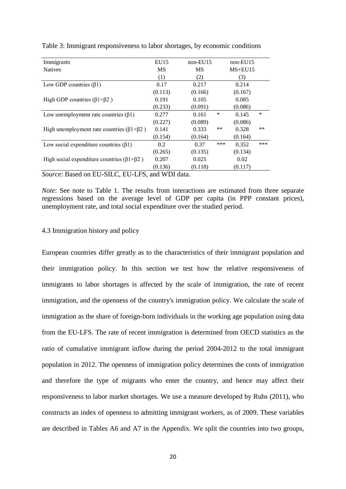| Immigrants                                          | EU15                  | $non-EU15$ |       | $non-EU15$ |        |
|-----------------------------------------------------|-----------------------|------------|-------|------------|--------|
| <b>Natives</b>                                      | <b>MS</b>             | MS         |       | $MS+EU15$  |        |
|                                                     | (1)                   | (2)        |       | (3)        |        |
| Low GDP countries $(\beta 1)$                       | 0.17                  | 0.217      |       | 0.214      |        |
|                                                     | (0.113)               | (0.166)    |       | (0.167)    |        |
| High GDP countries $(\beta1+\beta2)$                | 0.191                 | 0.105      |       | 0.085      |        |
|                                                     | (0.233)               | (0.091)    |       | (0.086)    |        |
| Low unemployment rate countries $(\beta 1)$         | 0.277                 | 0.161      | ∗     | 0.145      | $\ast$ |
|                                                     | (0.227)               | (0.089)    |       | (0.086)    |        |
| High unemployment rate countries $(\beta1+\beta2)$  | 0.141                 | 0.333      | $***$ | 0.328      | $**$   |
|                                                     | (0.154)               | (0.164)    |       | (0.164)    |        |
| Low social expenditure countries $(\beta 1)$        | 0.2                   | 0.37       | ***   | 0.352      | ***    |
|                                                     | (0.265)               | (0.135)    |       | (0.134)    |        |
| High social expenditure countries $(\beta1+\beta2)$ | 0.207                 | 0.025      |       | 0.02       |        |
|                                                     | (0.136)               | (0.118)    |       | (0.117)    |        |
| $\sim$                                              | $1$ $\bf W \bf W$ $1$ |            |       |            |        |

Table 3: Immigrant responsiveness to labor shortages, by economic conditions

*Source*: Based on EU-SILC, EU-LFS, and WDI data.

*Note*: See note to Table 1. The results from interactions are estimated from three separate regressions based on the average level of GDP per capita (in PPP constant prices), unemployment rate, and total social expenditure over the studied period.

#### 4.3 Immigration history and policy

European countries differ greatly as to the characteristics of their immigrant population and their immigration policy. In this section we test how the relative responsiveness of immigrants to labor shortages is affected by the scale of immigration, the rate of recent immigration, and the openness of the country's immigration policy. We calculate the scale of immigration as the share of foreign-born individuals in the working age population using data from the EU-LFS. The rate of recent immigration is determined from OECD statistics as the ratio of cumulative immigrant inflow during the period 2004-2012 to the total immigrant population in 2012. The openness of immigration policy determines the costs of immigration and therefore the type of migrants who enter the country, and hence may affect their responsiveness to labor market shortages. We use a measure developed by Ruhs (2011), who constructs an index of openness to admitting immigrant workers, as of 2009. These variables are described in Tables A6 and A7 in the Appendix. We split the countries into two groups,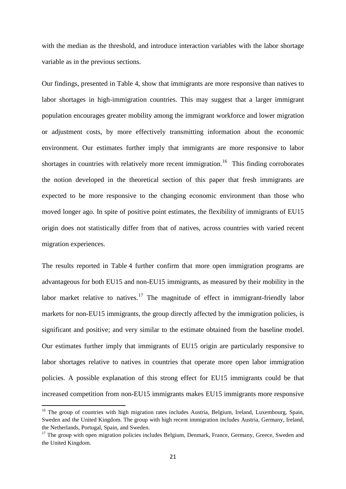with the median as the threshold, and introduce interaction variables with the labor shortage variable as in the previous sections.

Our findings, presented in Table 4, show that immigrants are more responsive than natives to labor shortages in high-immigration countries. This may suggest that a larger immigrant population encourages greater mobility among the immigrant workforce and lower migration or adjustment costs, by more effectively transmitting information about the economic environment. Our estimates further imply that immigrants are more responsive to labor shortages in countries with relatively more recent immigration.<sup>[16](#page-19-0)</sup> This finding corroborates the notion developed in the theoretical section of this paper that fresh immigrants are expected to be more responsive to the changing economic environment than those who moved longer ago. In spite of positive point estimates, the flexibility of immigrants of EU15 origin does not statistically differ from that of natives, across countries with varied recent migration experiences.

The results reported in Table 4 further confirm that more open immigration programs are advantageous for both EU15 and non-EU15 immigrants, as measured by their mobility in the labor market relative to natives.<sup>[17](#page-21-0)</sup> The magnitude of effect in immigrant-friendly labor markets for non-EU15 immigrants, the group directly affected by the immigration policies, is significant and positive; and very similar to the estimate obtained from the baseline model. Our estimates further imply that immigrants of EU15 origin are particularly responsive to labor shortages relative to natives in countries that operate more open labor immigration policies. A possible explanation of this strong effect for EU15 immigrants could be that increased competition from non-EU15 immigrants makes EU15 immigrants more responsive

 $\overline{\phantom{a}}$ 

<sup>&</sup>lt;sup>16</sup> The group of countries with high migration rates includes Austria, Belgium, Ireland, Luxembourg, Spain, Sweden and the United Kingdom. The group with high recent immigration includes Austria, Germany, Ireland, the Netherlands, Portugal, Spain, and Sweden.

<span id="page-21-1"></span><span id="page-21-0"></span><sup>&</sup>lt;sup>17</sup> The group with open migration policies includes Belgium, Denmark, France, Germany, Greece, Sweden and the United Kingdom.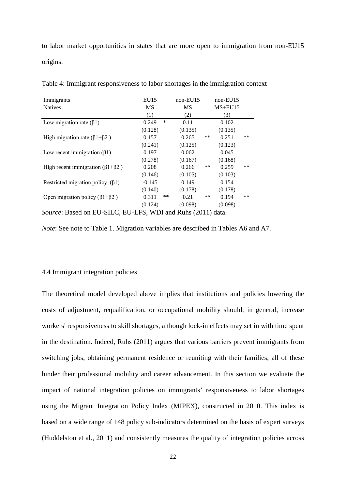to labor market opportunities in states that are more open to immigration from non-EU15 origins.

| Immigrants                                      | EU15        | $non-EU15$ | $non-EU15$           |
|-------------------------------------------------|-------------|------------|----------------------|
| <b>Natives</b>                                  | <b>MS</b>   | MS         | $MS+EU15$            |
|                                                 | (1)         | (2)        | (3)                  |
| Low migration rate $(\beta 1)$                  | ∗<br>0.249  | 0.11       | 0.102                |
|                                                 | (0.128)     | (0.135)    | (0.135)              |
| High migration rate $(\beta1+\beta2)$           | 0.157       | 0.265      | **<br>**<br>0.251    |
|                                                 | (0.241)     | (0.125)    | (0.123)              |
| Low recent immigration $(\beta 1)$              | 0.197       | 0.062      | 0.045                |
|                                                 | (0.278)     | (0.167)    | (0.168)              |
| High recent immigration ( $\beta$ 1+ $\beta$ 2) | 0.208       | 0.266      | **<br>**<br>0.259    |
|                                                 | (0.146)     | (0.105)    | (0.103)              |
| Restricted migration policy $(\beta 1)$         | $-0.145$    | 0.149      | 0.154                |
|                                                 | (0.140)     | (0.178)    | (0.178)              |
| Open migration policy ( $\beta$ 1+ $\beta$ 2)   | **<br>0.311 | 0.21       | $***$<br>**<br>0.194 |
|                                                 | (0.124)     | (0.098)    | (0.098)              |

Table 4: Immigrant responsiveness to labor shortages in the immigration context

*Source*: Based on EU-SILC, EU-LFS, WDI and Ruhs (2011) data.

*Note*: See note to Table 1. Migration variables are described in Tables A6 and A7.

#### 4.4 Immigrant integration policies

The theoretical model developed above implies that institutions and policies lowering the costs of adjustment, requalification, or occupational mobility should, in general, increase workers' responsiveness to skill shortages, although lock-in effects may set in with time spent in the destination. Indeed, Ruhs (2011) argues that various barriers prevent immigrants from switching jobs, obtaining permanent residence or reuniting with their families; all of these hinder their professional mobility and career advancement. In this section we evaluate the impact of national integration policies on immigrants' responsiveness to labor shortages using the Migrant Integration Policy Index (MIPEX), constructed in 2010. This index is based on a wide range of 148 policy sub-indicators determined on the basis of expert surveys (Huddelston et al., 2011) and consistently measures the quality of integration policies across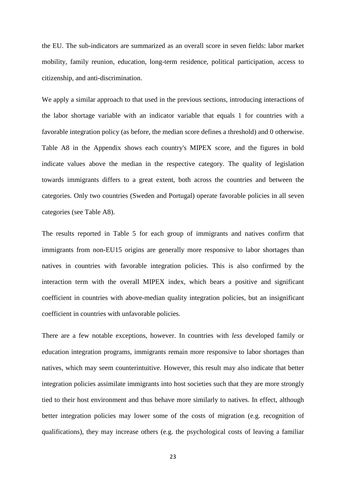the EU. The sub-indicators are summarized as an overall score in seven fields: labor market mobility, family reunion, education, long-term residence, political participation, access to citizenship, and anti-discrimination.

We apply a similar approach to that used in the previous sections, introducing interactions of the labor shortage variable with an indicator variable that equals 1 for countries with a favorable integration policy (as before, the median score defines a threshold) and 0 otherwise. Table A8 in the Appendix shows each country's MIPEX score, and the figures in bold indicate values above the median in the respective category. The quality of legislation towards immigrants differs to a great extent, both across the countries and between the categories. Only two countries (Sweden and Portugal) operate favorable policies in all seven categories (see Table A8).

The results reported in Table 5 for each group of immigrants and natives confirm that immigrants from non-EU15 origins are generally more responsive to labor shortages than natives in countries with favorable integration policies. This is also confirmed by the interaction term with the overall MIPEX index, which bears a positive and significant coefficient in countries with above-median quality integration policies, but an insignificant coefficient in countries with unfavorable policies.

There are a few notable exceptions, however. In countries with *less* developed family or education integration programs, immigrants remain more responsive to labor shortages than natives, which may seem counterintuitive. However, this result may also indicate that better integration policies assimilate immigrants into host societies such that they are more strongly tied to their host environment and thus behave more similarly to natives. In effect, although better integration policies may lower some of the costs of migration (e.g. recognition of qualifications), they may increase others (e.g. the psychological costs of leaving a familiar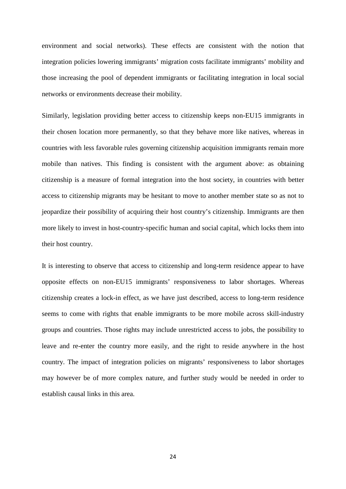environment and social networks). These effects are consistent with the notion that integration policies lowering immigrants' migration costs facilitate immigrants' mobility and those increasing the pool of dependent immigrants or facilitating integration in local social networks or environments decrease their mobility.

Similarly, legislation providing better access to citizenship keeps non-EU15 immigrants in their chosen location more permanently, so that they behave more like natives, whereas in countries with less favorable rules governing citizenship acquisition immigrants remain more mobile than natives. This finding is consistent with the argument above: as obtaining citizenship is a measure of formal integration into the host society, in countries with better access to citizenship migrants may be hesitant to move to another member state so as not to jeopardize their possibility of acquiring their host country's citizenship. Immigrants are then more likely to invest in host-country-specific human and social capital, which locks them into their host country.

It is interesting to observe that access to citizenship and long-term residence appear to have opposite effects on non-EU15 immigrants' responsiveness to labor shortages. Whereas citizenship creates a lock-in effect, as we have just described, access to long-term residence seems to come with rights that enable immigrants to be more mobile across skill-industry groups and countries. Those rights may include unrestricted access to jobs, the possibility to leave and re-enter the country more easily, and the right to reside anywhere in the host country. The impact of integration policies on migrants' responsiveness to labor shortages may however be of more complex nature, and further study would be needed in order to establish causal links in this area.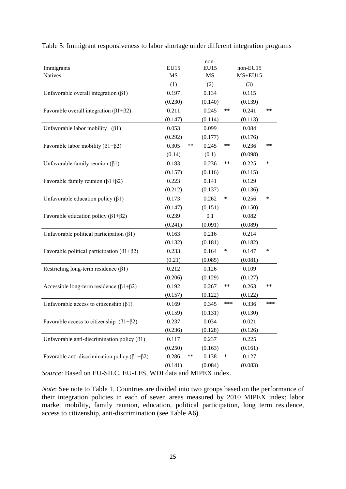| Immigrants<br><b>Natives</b>                                 | <b>EU15</b><br>MS | non-<br>EU15<br>MS | non-EU15<br>$MS+EU15$ |
|--------------------------------------------------------------|-------------------|--------------------|-----------------------|
|                                                              | (1)               | (2)                | (3)                   |
| Unfavorable overall integration $(\beta 1)$                  | 0.197             | 0.134              | 0.115                 |
|                                                              | (0.230)           | (0.140)            | (0.139)               |
| Favorable overall integration ( $\beta$ 1+ $\beta$ 2)        | 0.211             | 0.245              | **<br>0.241<br>**     |
|                                                              | (0.147)           | (0.114)            | (0.113)               |
| Unfavorable labor mobility $(\beta1)$                        | 0.053             | 0.099              | 0.084                 |
|                                                              | (0.292)           | (0.177)            | (0.176)               |
| Favorable labor mobility ( $\beta$ 1+ $\beta$ 2)             | 0.305<br>**       | 0.245              | 0.236<br>**<br>**     |
|                                                              | (0.14)            | (0.1)              | (0.098)               |
| Unfavorable family reunion $(\beta 1)$                       | 0.183             | 0.236              | **<br>0.225<br>∗      |
|                                                              | (0.157)           | (0.116)            | (0.115)               |
| Favorable family reunion $(\beta1+\beta2)$                   | 0.223             | 0.141              | 0.129                 |
|                                                              | (0.212)           | (0.137)            | (0.136)               |
| Unfavorable education policy $(\beta 1)$                     | 0.173             | 0.262              | ∗<br>0.256<br>∗       |
|                                                              | (0.147)           | (0.151)            | (0.150)               |
| Favorable education policy ( $\beta$ 1+ $\beta$ 2)           | 0.239             | 0.1                | 0.082                 |
|                                                              | (0.241)           | (0.091)            | (0.089)               |
| Unfavorable political participation $(\beta 1)$              | 0.163             | 0.216              | 0.214                 |
|                                                              | (0.132)           | (0.181)            | (0.182)               |
| Favorable political participation ( $\beta$ 1+ $\beta$ 2)    | 0.233             | 0.164              | 0.147<br>∗<br>∗       |
|                                                              | (0.21)            | (0.085)            | (0.081)               |
| Restricting long-term residence $(\beta 1)$                  | 0.212             | 0.126              | 0.109                 |
|                                                              | (0.206)           | (0.129)            | (0.127)               |
| Accessible long-term residence $(\beta1+\beta2)$             | 0.192             | 0.267              | **<br>0.263<br>**     |
|                                                              | (0.157)           | (0.122)            | (0.122)               |
| Unfavorable access to citizenship $(\beta 1)$                | 0.169             | 0.345              | ***<br>0.336<br>***   |
|                                                              | (0.159)           | (0.131)            | (0.130)               |
| Favorable access to citizenship $(\beta1+\beta2)$            | 0.237             | 0.034              | 0.021                 |
|                                                              | (0.236)           | (0.128)            | (0.126)               |
| Unfavorable anti-discrimination policy $(\beta 1)$           | 0.117             | 0.237              | 0.225                 |
|                                                              | (0.250)           | (0.163)            | (0.161)               |
| Favorable anti-discrimination policy ( $\beta$ 1+ $\beta$ 2) | **<br>0.286       | 0.138              | $\ast$<br>0.127       |
|                                                              | (0.141)           | (0.084)            | (0.083)               |

Table 5: Immigrant responsiveness to labor shortage under different integration programs

*Source*: Based on EU-SILC, EU-LFS, WDI data and MIPEX index.

*Note*: See note to Table 1. Countries are divided into two groups based on the performance of their integration policies in each of seven areas measured by 2010 MIPEX index: labor market mobility, family reunion, education, political participation, long term residence, access to citizenship, anti-discrimination (see Table A6).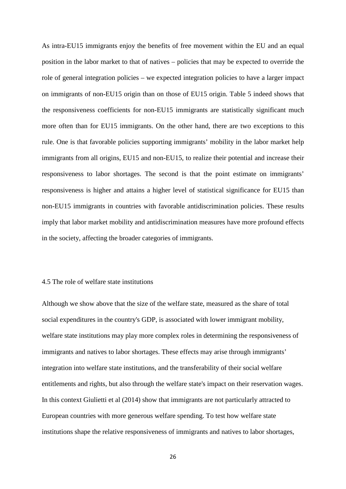As intra-EU15 immigrants enjoy the benefits of free movement within the EU and an equal position in the labor market to that of natives – policies that may be expected to override the role of general integration policies – we expected integration policies to have a larger impact on immigrants of non-EU15 origin than on those of EU15 origin. Table 5 indeed shows that the responsiveness coefficients for non-EU15 immigrants are statistically significant much more often than for EU15 immigrants. On the other hand, there are two exceptions to this rule. One is that favorable policies supporting immigrants' mobility in the labor market help immigrants from all origins, EU15 and non-EU15, to realize their potential and increase their responsiveness to labor shortages. The second is that the point estimate on immigrants' responsiveness is higher and attains a higher level of statistical significance for EU15 than non-EU15 immigrants in countries with favorable antidiscrimination policies. These results imply that labor market mobility and antidiscrimination measures have more profound effects in the society, affecting the broader categories of immigrants.

#### 4.5 The role of welfare state institutions

Although we show above that the size of the welfare state, measured as the share of total social expenditures in the country's GDP, is associated with lower immigrant mobility, welfare state institutions may play more complex roles in determining the responsiveness of immigrants and natives to labor shortages. These effects may arise through immigrants' integration into welfare state institutions, and the transferability of their social welfare entitlements and rights, but also through the welfare state's impact on their reservation wages. In this context Giulietti et al (2014) show that immigrants are not particularly attracted to European countries with more generous welfare spending. To test how welfare state institutions shape the relative responsiveness of immigrants and natives to labor shortages,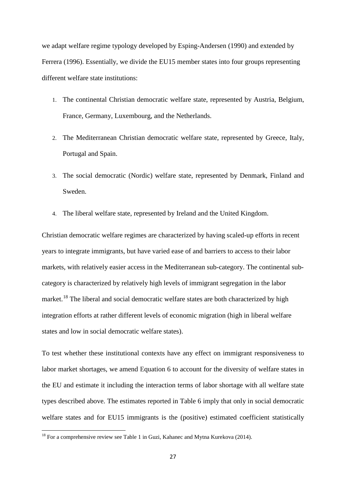we adapt welfare regime typology developed by Esping-Andersen (1990) and extended by Ferrera (1996). Essentially, we divide the EU15 member states into four groups representing different welfare state institutions:

- 1. The continental Christian democratic welfare state, represented by Austria, Belgium, France, Germany, Luxembourg, and the Netherlands.
- 2. The Mediterranean Christian democratic welfare state, represented by Greece, Italy, Portugal and Spain.
- 3. The social democratic (Nordic) welfare state, represented by Denmark, Finland and Sweden.
- 4. The liberal welfare state, represented by Ireland and the United Kingdom.

Christian democratic welfare regimes are characterized by having scaled-up efforts in recent years to integrate immigrants, but have varied ease of and barriers to access to their labor markets, with relatively easier access in the Mediterranean sub-category. The continental subcategory is characterized by relatively high levels of immigrant segregation in the labor market.<sup>[18](#page-21-1)</sup> The liberal and social democratic welfare states are both characterized by high integration efforts at rather different levels of economic migration (high in liberal welfare states and low in social democratic welfare states).

To test whether these institutional contexts have any effect on immigrant responsiveness to labor market shortages, we amend Equation 6 to account for the diversity of welfare states in the EU and estimate it including the interaction terms of labor shortage with all welfare state types described above. The estimates reported in Table 6 imply that only in social democratic welfare states and for EU15 immigrants is the (positive) estimated coefficient statistically

**.** 

 $18$  For a comprehensive review see Table 1 in Guzi, Kahanec and Mytna Kurekova (2014).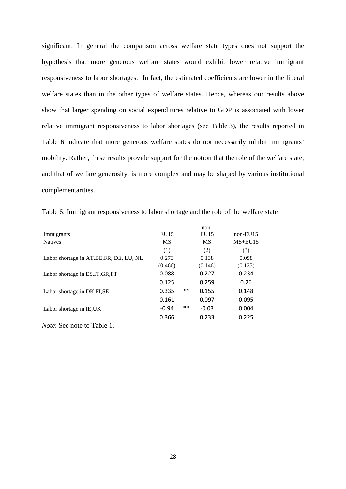significant. In general the comparison across welfare state types does not support the hypothesis that more generous welfare states would exhibit lower relative immigrant responsiveness to labor shortages. In fact, the estimated coefficients are lower in the liberal welfare states than in the other types of welfare states. Hence, whereas our results above show that larger spending on social expenditures relative to GDP is associated with lower relative immigrant responsiveness to labor shortages (see Table 3), the results reported in Table 6 indicate that more generous welfare states do not necessarily inhibit immigrants' mobility. Rather, these results provide support for the notion that the role of the welfare state, and that of welfare generosity, is more complex and may be shaped by various institutional complementarities.

Table 6: Immigrant responsiveness to labor shortage and the role of the welfare state

| Immigrants<br><b>Natives</b>             | EU15<br><b>MS</b> |       | non-<br>EU15<br>MS | $non-EU15$<br>$MS+EU15$ |  |
|------------------------------------------|-------------------|-------|--------------------|-------------------------|--|
|                                          | (1)               |       | (2)                | (3)                     |  |
| Labor shortage in AT, BE, FR, DE, LU, NL | 0.273             |       | 0.138              | 0.098                   |  |
|                                          | (0.466)           |       | (0.146)            | (0.135)                 |  |
| Labor shortage in ES, IT, GR, PT         | 0.088             |       | 0.227              | 0.234                   |  |
|                                          | 0.125             |       | 0.259              | 0.26                    |  |
| Labor shortage in DK, FI, SE             | 0.335             | $***$ | 0.155              | 0.148                   |  |
|                                          | 0.161             |       | 0.097              | 0.095                   |  |
| Labor shortage in IE, UK                 | $-0.94$           | $***$ | $-0.03$            | 0.004                   |  |
|                                          | 0.366             |       | 0.233              | 0.225                   |  |
|                                          |                   |       |                    |                         |  |

*Note*: See note to Table 1.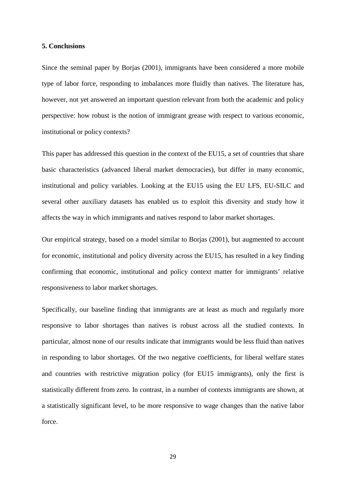#### **5. Conclusions**

Since the seminal paper by Borjas (2001), immigrants have been considered a more mobile type of labor force, responding to imbalances more fluidly than natives. The literature has, however, not yet answered an important question relevant from both the academic and policy perspective: how robust is the notion of immigrant grease with respect to various economic, institutional or policy contexts?

This paper has addressed this question in the context of the EU15, a set of countries that share basic characteristics (advanced liberal market democracies), but differ in many economic, institutional and policy variables. Looking at the EU15 using the EU LFS, EU-SILC and several other auxiliary datasets has enabled us to exploit this diversity and study how it affects the way in which immigrants and natives respond to labor market shortages.

Our empirical strategy, based on a model similar to Borjas (2001), but augmented to account for economic, institutional and policy diversity across the EU15, has resulted in a key finding confirming that economic, institutional and policy context matter for immigrants' relative responsiveness to labor market shortages.

Specifically, our baseline finding that immigrants are at least as much and regularly more responsive to labor shortages than natives is robust across all the studied contexts. In particular, almost none of our results indicate that immigrants would be less fluid than natives in responding to labor shortages. Of the two negative coefficients, for liberal welfare states and countries with restrictive migration policy (for EU15 immigrants), only the first is statistically different from zero. In contrast, in a number of contexts immigrants are shown, at a statistically significant level, to be more responsive to wage changes than the native labor force.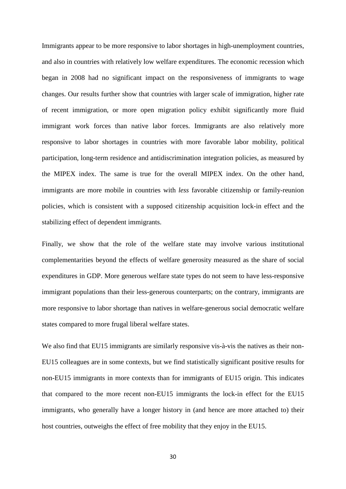Immigrants appear to be more responsive to labor shortages in high-unemployment countries, and also in countries with relatively low welfare expenditures. The economic recession which began in 2008 had no significant impact on the responsiveness of immigrants to wage changes. Our results further show that countries with larger scale of immigration, higher rate of recent immigration, or more open migration policy exhibit significantly more fluid immigrant work forces than native labor forces. Immigrants are also relatively more responsive to labor shortages in countries with more favorable labor mobility, political participation, long-term residence and antidiscrimination integration policies, as measured by the MIPEX index. The same is true for the overall MIPEX index. On the other hand, immigrants are more mobile in countries with *less* favorable citizenship or family-reunion policies, which is consistent with a supposed citizenship acquisition lock-in effect and the stabilizing effect of dependent immigrants.

Finally, we show that the role of the welfare state may involve various institutional complementarities beyond the effects of welfare generosity measured as the share of social expenditures in GDP. More generous welfare state types do not seem to have less-responsive immigrant populations than their less-generous counterparts; on the contrary, immigrants are more responsive to labor shortage than natives in welfare-generous social democratic welfare states compared to more frugal liberal welfare states.

We also find that EU15 immigrants are similarly responsive vis-à-vis the natives as their non-EU15 colleagues are in some contexts, but we find statistically significant positive results for non-EU15 immigrants in more contexts than for immigrants of EU15 origin. This indicates that compared to the more recent non-EU15 immigrants the lock-in effect for the EU15 immigrants, who generally have a longer history in (and hence are more attached to) their host countries, outweighs the effect of free mobility that they enjoy in the EU15.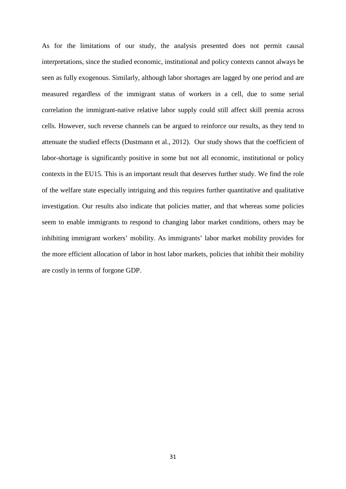As for the limitations of our study, the analysis presented does not permit causal interpretations, since the studied economic, institutional and policy contexts cannot always be seen as fully exogenous. Similarly, although labor shortages are lagged by one period and are measured regardless of the immigrant status of workers in a cell, due to some serial correlation the immigrant-native relative labor supply could still affect skill premia across cells. However, such reverse channels can be argued to reinforce our results, as they tend to attenuate the studied effects (Dustmann et al., 2012). Our study shows that the coefficient of labor-shortage is significantly positive in some but not all economic, institutional or policy contexts in the EU15. This is an important result that deserves further study. We find the role of the welfare state especially intriguing and this requires further quantitative and qualitative investigation. Our results also indicate that policies matter, and that whereas some policies seem to enable immigrants to respond to changing labor market conditions, others may be inhibiting immigrant workers' mobility. As immigrants' labor market mobility provides for the more efficient allocation of labor in host labor markets, policies that inhibit their mobility are costly in terms of forgone GDP.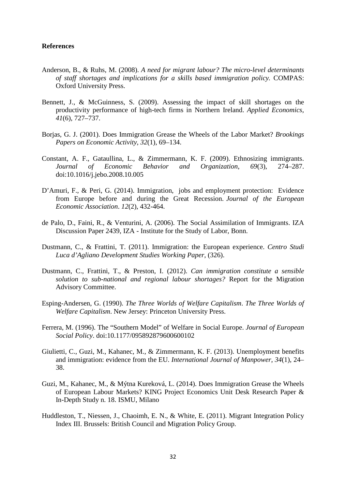#### **References**

- Anderson, B., & Ruhs, M. (2008). *A need for migrant labour? The micro-level determinants of staff shortages and implications for a skills based immigration policy.* COMPAS: Oxford University Press.
- Bennett, J., & McGuinness, S. (2009). Assessing the impact of skill shortages on the productivity performance of high-tech firms in Northern Ireland. *Applied Economics*, *41*(6), 727–737.
- Borjas, G. J. (2001). Does Immigration Grease the Wheels of the Labor Market? *Brookings Papers on Economic Activity*, *32*(1), 69–134.
- Constant, A. F., Gataullina, L., & Zimmermann, K. F. (2009). Ethnosizing immigrants. *Journal of Economic Behavior and Organization*, *69*(3), 274–287. doi:10.1016/j.jebo.2008.10.005
- D'Amuri, F., & Peri, G. (2014). Immigration, jobs and employment protection: Evidence from Europe before and during the Great Recession. *Journal of the European Economic Association*. *12*(2), 432-464.
- de Palo, D., Faini, R., & Venturini, A. (2006). The Social Assimilation of Immigrants. IZA Discussion Paper 2439, IZA - Institute for the Study of Labor, Bonn.
- Dustmann, C., & Frattini, T. (2011). Immigration: the European experience. *Centro Studi Luca d'Agliano Development Studies Working Paper*, (326).
- Dustmann, C., Frattini, T., & Preston, I. (2012). *Can immigration constitute a sensible solution to sub-national and regional labour shortages?* Report for the Migration Advisory Committee.
- Esping-Andersen, G. (1990). *The Three Worlds of Welfare Capitalism*. *The Three Worlds of Welfare Capitalism*. New Jersey: Princeton University Press.
- Ferrera, M. (1996). The "Southern Model" of Welfare in Social Europe. *Journal of European Social Policy*. doi:10.1177/095892879600600102
- Giulietti, C., Guzi, M., Kahanec, M., & Zimmermann, K. F. (2013). Unemployment benefits and immigration: evidence from the EU. *International Journal of Manpower*, *34*(1), 24– 38.
- Guzi, M., Kahanec, M., & Mýtna Kureková, L. (2014). Does Immigration Grease the Wheels of European Labour Markets? KING Project Economics Unit Desk Research Paper & In-Depth Study n. 18. ISMU, Milano
- Huddleston, T., Niessen, J., Chaoimh, E. N., & White, E. (2011). Migrant Integration Policy Index III. Brussels: British Council and Migration Policy Group.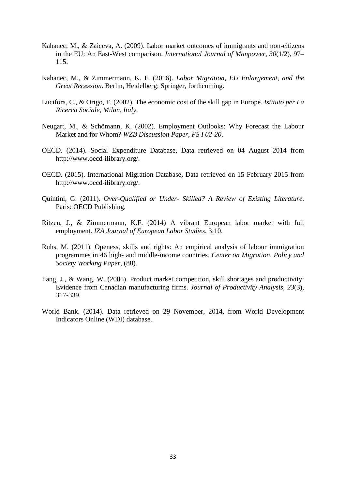- Kahanec, M., & Zaiceva, A. (2009). Labor market outcomes of immigrants and non-citizens in the EU: An East-West comparison. *International Journal of Manpower*, *30*(1/2), 97– 115.
- Kahanec, M., & Zimmermann, K. F. (2016). *Labor Migration, EU Enlargement, and the Great Recession*. Berlin, Heidelberg: Springer, forthcoming.
- Lucifora, C., & Origo, F. (2002). The economic cost of the skill gap in Europe. *Istituto per La Ricerca Sociale, Milan, Italy*.
- Neugart, M., & Schömann, K. (2002). Employment Outlooks: Why Forecast the Labour Market and for Whom? *WZB Discussion Paper*, *FS I 02-20*.
- OECD. (2014). Social Expenditure Database, Data retrieved on 04 August 2014 from http://www.oecd-ilibrary.org/.
- OECD. (2015). International Migration Database, Data retrieved on 15 February 2015 from http://www.oecd-ilibrary.org/.
- Quintini, G. (2011). *Over-Qualified or Under- Skilled? A Review of Existing Literature*. Paris: OECD Publishing.
- Ritzen, J., & Zimmermann, K.F. (2014) A vibrant European labor market with full employment. *IZA Journal of European Labor Studies*, 3:10.
- Ruhs, M. (2011). Openess, skills and rights: An empirical analysis of labour immigration programmes in 46 high- and middle-income countries. *Center on Migration, Policy and Society Working Paper*, (88).
- Tang, J., & Wang, W. (2005). Product market competition, skill shortages and productivity: Evidence from Canadian manufacturing firms. *Journal of Productivity Analysis, 23*(3), 317-339.
- World Bank. (2014). Data retrieved on 29 November, 2014, from World Development Indicators Online (WDI) database.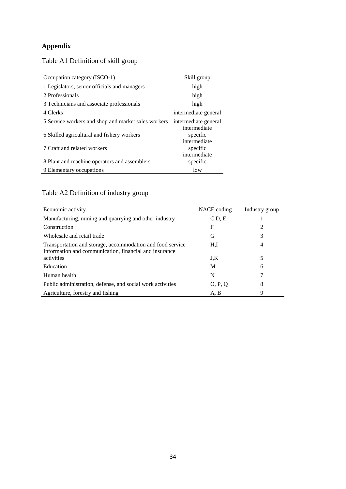### **Appendix**

Table A1 Definition of skill group

| Occupation category (ISCO-1)                        | Skill group                              |
|-----------------------------------------------------|------------------------------------------|
| 1 Legislators, senior officials and managers        | high                                     |
| 2 Professionals                                     | high                                     |
| 3 Technicians and associate professionals           | high                                     |
| 4 Clerks                                            | intermediate general                     |
| 5 Service workers and shop and market sales workers | intermediate general                     |
| 6 Skilled agricultural and fishery workers          | intermediate<br>specific<br>intermediate |
| 7 Craft and related workers                         | specific<br>intermediate                 |
| 8 Plant and machine operators and assemblers        | specific                                 |
| 9 Elementary occupations                            | low                                      |

### Table A2 Definition of industry group

| Economic activity                                                                                                    | NACE coding | Industry group |
|----------------------------------------------------------------------------------------------------------------------|-------------|----------------|
| Manufacturing, mining and quarrying and other industry                                                               | C.D. E      |                |
| Construction                                                                                                         | F           | 2              |
| Wholesale and retail trade                                                                                           | G           | 3              |
| Transportation and storage, accommodation and food service<br>Information and communication, financial and insurance | H.I         | 4              |
| activities                                                                                                           | J.K         | 5              |
| Education                                                                                                            | M           | 6              |
| Human health                                                                                                         | N           |                |
| Public administration, defense, and social work activities                                                           | O, P, O     | 8              |
| Agriculture, forestry and fishing                                                                                    | A, B        | 9              |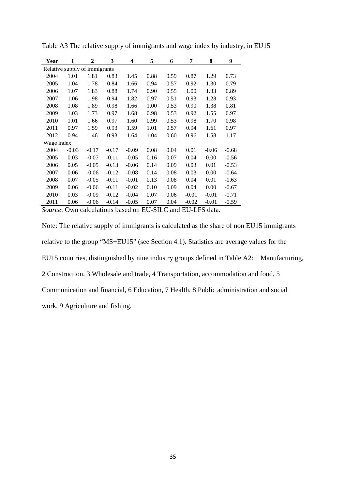| Year                                                                     | 1       | 2       | 3       | 4       | 5    | 6    | 7       | 8       | 9       |
|--------------------------------------------------------------------------|---------|---------|---------|---------|------|------|---------|---------|---------|
| Relative supply of immigrants                                            |         |         |         |         |      |      |         |         |         |
| 2004                                                                     | 1.01    | 1.81    | 0.83    | 1.45    | 0.88 | 0.59 | 0.87    | 1.29    | 0.73    |
| 2005                                                                     | 1.04    | 1.78    | 0.84    | 1.66    | 0.94 | 0.57 | 0.92    | 1.30    | 0.79    |
| 2006                                                                     | 1.07    | 1.83    | 0.88    | 1.74    | 0.90 | 0.55 | 1.00    | 1.33    | 0.89    |
| 2007                                                                     | 1.06    | 1.98    | 0.94    | 1.82    | 0.97 | 0.51 | 0.93    | 1.28    | 0.93    |
| 2008                                                                     | 1.08    | 1.89    | 0.98    | 1.66    | 1.00 | 0.53 | 0.90    | 1.38    | 0.81    |
| 2009                                                                     | 1.03    | 1.73    | 0.97    | 1.68    | 0.98 | 0.53 | 0.92    | 1.55    | 0.97    |
| 2010                                                                     | 1.01    | 1.66    | 0.97    | 1.60    | 0.99 | 0.53 | 0.98    | 1.70    | 0.98    |
| 2011                                                                     | 0.97    | 1.59    | 0.93    | 1.59    | 1.01 | 0.57 | 0.94    | 1.61    | 0.97    |
| 2012                                                                     | 0.94    | 1.46    | 0.93    | 1.64    | 1.04 | 0.60 | 0.96    | 1.58    | 1.17    |
| Wage index                                                               |         |         |         |         |      |      |         |         |         |
| 2004                                                                     | $-0.03$ | $-0.17$ | $-0.17$ | $-0.09$ | 0.08 | 0.04 | 0.01    | $-0.06$ | $-0.68$ |
| 2005                                                                     | 0.03    | $-0.07$ | $-0.11$ | $-0.05$ | 0.16 | 0.07 | 0.04    | 0.00    | $-0.56$ |
| 2006                                                                     | 0.05    | $-0.05$ | $-0.13$ | $-0.06$ | 0.14 | 0.09 | 0.03    | 0.01    | $-0.53$ |
| 2007                                                                     | 0.06    | $-0.06$ | $-0.12$ | $-0.08$ | 0.14 | 0.08 | 0.03    | 0.00    | $-0.64$ |
| 2008                                                                     | 0.07    | $-0.05$ | $-0.11$ | $-0.01$ | 0.13 | 0.08 | 0.04    | 0.01    | $-0.63$ |
| 2009                                                                     | 0.06    | $-0.06$ | $-0.11$ | $-0.02$ | 0.10 | 0.09 | 0.04    | 0.00    | $-0.67$ |
| 2010                                                                     | 0.03    | $-0.09$ | $-0.12$ | $-0.04$ | 0.07 | 0.06 | $-0.01$ | $-0.01$ | $-0.71$ |
| 2011                                                                     | 0.06    | $-0.06$ | $-0.14$ | $-0.05$ | 0.07 | 0.04 | $-0.02$ | $-0.01$ | $-0.59$ |
| $\Gamma$ Course: Own coloulations besed on $EII$ CILC and $EII$ LEC data |         |         |         |         |      |      |         |         |         |

Table A3 The relative supply of immigrants and wage index by industry, in EU15

*Source*: Own calculations based on EU-SILC and EU-LFS data.

Note: The relative supply of immigrants is calculated as the share of non EU15 immigrants relative to the group "MS+EU15" (see Section 4.1). Statistics are average values for the EU15 countries, distinguished by nine industry groups defined in Table A2: 1 Manufacturing, 2 Construction, 3 Wholesale and trade, 4 Transportation, accommodation and food, 5 Communication and financial, 6 Education, 7 Health, 8 Public administration and social work, 9 Agriculture and fishing.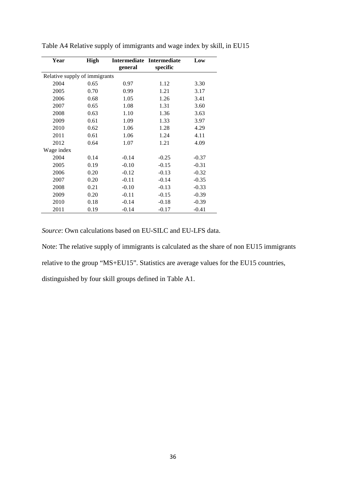| Year                          | <b>High</b> | <b>Intermediate</b> | <b>Intermediate</b> | Low     |
|-------------------------------|-------------|---------------------|---------------------|---------|
|                               |             | general             | specific            |         |
| Relative supply of immigrants |             |                     |                     |         |
| 2004                          | 0.65        | 0.97                | 1.12                | 3.30    |
| 2005                          | 0.70        | 0.99                | 1.21                | 3.17    |
| 2006                          | 0.68        | 1.05                | 1.26                | 3.41    |
| 2007                          | 0.65        | 1.08                | 1.31                | 3.60    |
| 2008                          | 0.63        | 1.10                | 1.36                | 3.63    |
| 2009                          | 0.61        | 1.09                | 1.33                | 3.97    |
| 2010                          | 0.62        | 1.06                | 1.28                | 4.29    |
| 2011                          | 0.61        | 1.06                | 1.24                | 4.11    |
| 2012                          | 0.64        | 1.07                | 1.21                | 4.09    |
| Wage index                    |             |                     |                     |         |
| 2004                          | 0.14        | $-0.14$             | $-0.25$             | $-0.37$ |
| 2005                          | 0.19        | $-0.10$             | $-0.15$             | $-0.31$ |
| 2006                          | 0.20        | $-0.12$             | $-0.13$             | $-0.32$ |
| 2007                          | 0.20        | $-0.11$             | $-0.14$             | $-0.35$ |
| 2008                          | 0.21        | $-0.10$             | $-0.13$             | $-0.33$ |
| 2009                          | 0.20        | $-0.11$             | $-0.15$             | $-0.39$ |
| 2010                          | 0.18        | $-0.14$             | $-0.18$             | $-0.39$ |
| 2011                          | 0.19        | $-0.14$             | $-0.17$             | $-0.41$ |

Table A4 Relative supply of immigrants and wage index by skill, in EU15

*Source*: Own calculations based on EU-SILC and EU-LFS data.

Note: The relative supply of immigrants is calculated as the share of non EU15 immigrants

relative to the group "MS+EU15". Statistics are average values for the EU15 countries,

distinguished by four skill groups defined in Table A1.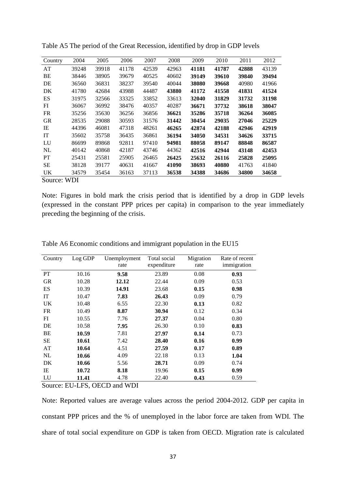| Country   | 2004  | 2005  | 2006  | 2007  | 2008  | 2009  | 2010         | 2011  | 2012  |  |
|-----------|-------|-------|-------|-------|-------|-------|--------------|-------|-------|--|
| AT        | 39248 | 39918 | 41178 | 42539 | 42963 | 41181 | 41787        | 42888 | 43139 |  |
| ВE        | 38446 | 38905 | 39679 | 40525 | 40602 | 39149 | <b>39610</b> | 39840 | 39494 |  |
| DE        | 36560 | 36831 | 38237 | 39540 | 40044 | 38080 | 39668        | 40980 | 41966 |  |
| DK        | 41780 | 42684 | 43988 | 44487 | 43880 | 41172 | 41558        | 41831 | 41524 |  |
| ES        | 31975 | 32566 | 33325 | 33852 | 33613 | 32040 | 31829        | 31732 | 31198 |  |
| FI        | 36067 | 36992 | 38476 | 40357 | 40287 | 36671 | 37732        | 38618 | 38047 |  |
| <b>FR</b> | 35256 | 35630 | 36256 | 36856 | 36621 | 35286 | 35718        | 36264 | 36085 |  |
| <b>GR</b> | 28535 | 29088 | 30593 | 31576 | 31442 | 30454 | 29035        | 27046 | 25229 |  |
| IE        | 44396 | 46081 | 47318 | 48261 | 46265 | 42874 | 42188        | 42946 | 42919 |  |
| <b>IT</b> | 35602 | 35758 | 36435 | 36861 | 36194 | 34050 | 34531        | 34626 | 33715 |  |
| LU        | 86699 | 89868 | 92811 | 97410 | 94981 | 88058 | 89147        | 88848 | 86587 |  |
| NL        | 40142 | 40868 | 42187 | 43746 | 44362 | 42516 | 42944        | 43148 | 42453 |  |
| PT        | 25431 | 25581 | 25905 | 26465 | 26425 | 25632 | 26116        | 25828 | 25095 |  |
| SЕ        | 38128 | 39177 | 40631 | 41667 | 41090 | 38693 | 40880        | 41763 | 41840 |  |
| UK        | 34579 | 35454 | 36163 | 37113 | 36538 | 34388 | 34686        | 34800 | 34658 |  |
|           |       |       |       |       |       |       |              |       |       |  |

Table A5 The period of the Great Recession, identified by drop in GDP levels

Source: WDI

Note: Figures in bold mark the crisis period that is identified by a drop in GDP levels (expressed in the constant PPP prices per capita) in comparison to the year immediately preceding the beginning of the crisis.

| Country   | Log GDP | Unemployment<br>rate | Total social<br>expenditure | Migration<br>rate | Rate of recent<br>immigration |
|-----------|---------|----------------------|-----------------------------|-------------------|-------------------------------|
| <b>PT</b> | 10.16   | 9.58                 | 23.89                       | 0.08              | 0.93                          |
| <b>GR</b> | 10.28   | 12.12                | 22.44                       | 0.09              | 0.53                          |
| <b>ES</b> | 10.39   | 14.91                | 23.68                       | 0.15              | 0.98                          |
| IT        | 10.47   | 7.83                 | 26.43                       | 0.09              | 0.79                          |
| UK        | 10.48   | 6.55                 | 22.30                       | 0.13              | 0.82                          |
| <b>FR</b> | 10.49   | 8.87                 | 30.94                       | 0.12              | 0.34                          |
| FI        | 10.55   | 7.76                 | 27.37                       | 0.04              | 0.80                          |
| DE        | 10.58   | 7.95                 | 26.30                       | 0.10              | 0.83                          |
| BE        | 10.59   | 7.81                 | 27.97                       | 0.14              | 0.73                          |
| <b>SE</b> | 10.61   | 7.42                 | 28.40                       | 0.16              | 0.99                          |
| AT        | 10.64   | 4.51                 | 27.59                       | 0.17              | 0.89                          |
| NL        | 10.66   | 4.09                 | 22.18                       | 0.13              | 1.04                          |
| DK        | 10.66   | 5.56                 | 28.71                       | 0.09              | 0.74                          |
| IE        | 10.72   | 8.18                 | 19.96                       | 0.15              | 0.99                          |
| LU        | 11.41   | 4.78                 | 22.40                       | 0.43              | 0.59                          |

Table A6 Economic conditions and immigrant population in the EU15

Source: EU-LFS, OECD and WDI

Note: Reported values are average values across the period 2004-2012. GDP per capita in constant PPP prices and the % of unemployed in the labor force are taken from WDI. The share of total social expenditure on GDP is taken from OECD. Migration rate is calculated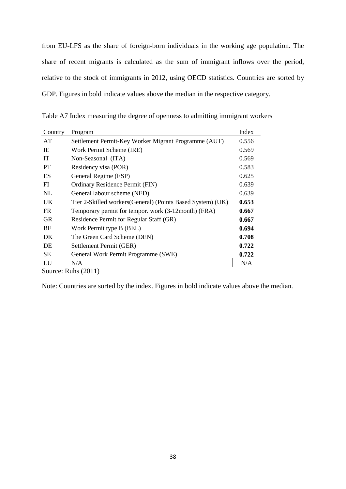from EU-LFS as the share of foreign-born individuals in the working age population. The share of recent migrants is calculated as the sum of immigrant inflows over the period, relative to the stock of immigrants in 2012, using OECD statistics. Countries are sorted by GDP. Figures in bold indicate values above the median in the respective category.

| Country   | Program                                                     | Index |
|-----------|-------------------------------------------------------------|-------|
| AT        | Settlement Permit-Key Worker Migrant Programme (AUT)        | 0.556 |
| IE        | Work Permit Scheme (IRE)                                    | 0.569 |
| IT        | Non-Seasonal (ITA)                                          | 0.569 |
| <b>PT</b> | Residency visa (POR)                                        | 0.583 |
| ES        | General Regime (ESP)                                        | 0.625 |
| FI        | Ordinary Residence Permit (FIN)                             | 0.639 |
| NL        | General labour scheme (NED)                                 | 0.639 |
| UK        | Tier 2-Skilled workers (General) (Points Based System) (UK) | 0.653 |
| FR        | Temporary permit for tempor. work (3-12month) (FRA)         | 0.667 |
| <b>GR</b> | Residence Permit for Regular Staff (GR)                     | 0.667 |
| BE        | Work Permit type B (BEL)                                    | 0.694 |
| DK        | The Green Card Scheme (DEN)                                 | 0.708 |
| DE        | Settlement Permit (GER)                                     | 0.722 |
| SЕ        | General Work Permit Programme (SWE)                         | 0.722 |
| LU        | N/A                                                         | N/A   |
|           | Source: Ruhs $(2011)$                                       |       |

Table A7 Index measuring the degree of openness to admitting immigrant workers

Note: Countries are sorted by the index. Figures in bold indicate values above the median.